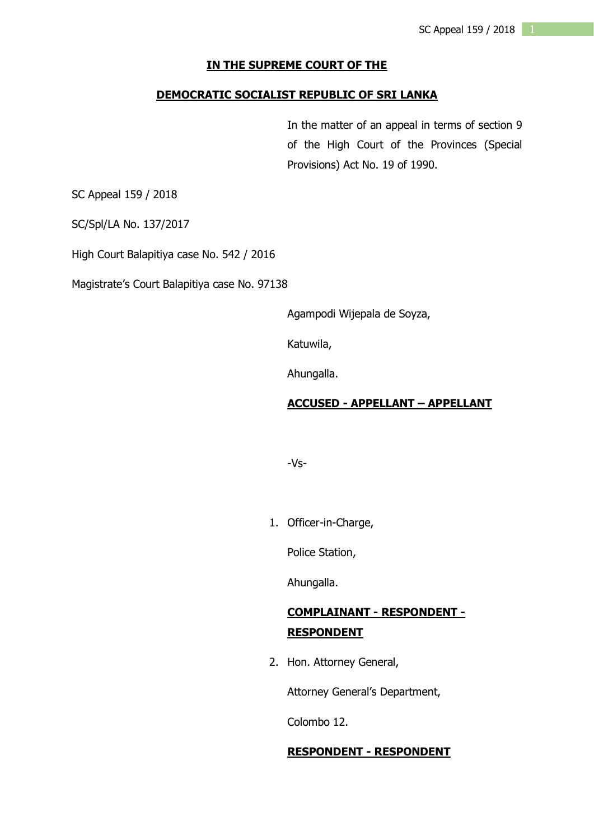#### **IN THE SUPREME COURT OF THE**

#### **DEMOCRATIC SOCIALIST REPUBLIC OF SRI LANKA**

In the matter of an appeal in terms of section 9 of the High Court of the Provinces (Special Provisions) Act No. 19 of 1990.

SC Appeal 159 / 2018

SC/Spl/LA No. 137/2017

High Court Balapitiya case No. 542 / 2016

Magistrate's Court Balapitiya case No. 97138

Agampodi Wijepala de Soyza,

Katuwila,

Ahungalla.

#### **ACCUSED - APPELLANT – APPELLANT**

-Vs-

1. Officer-in-Charge,

Police Station,

Ahungalla.

# **COMPLAINANT - RESPONDENT - RESPONDENT**

2. Hon. Attorney General,

Attorney General's Department,

Colombo 12.

#### **RESPONDENT - RESPONDENT**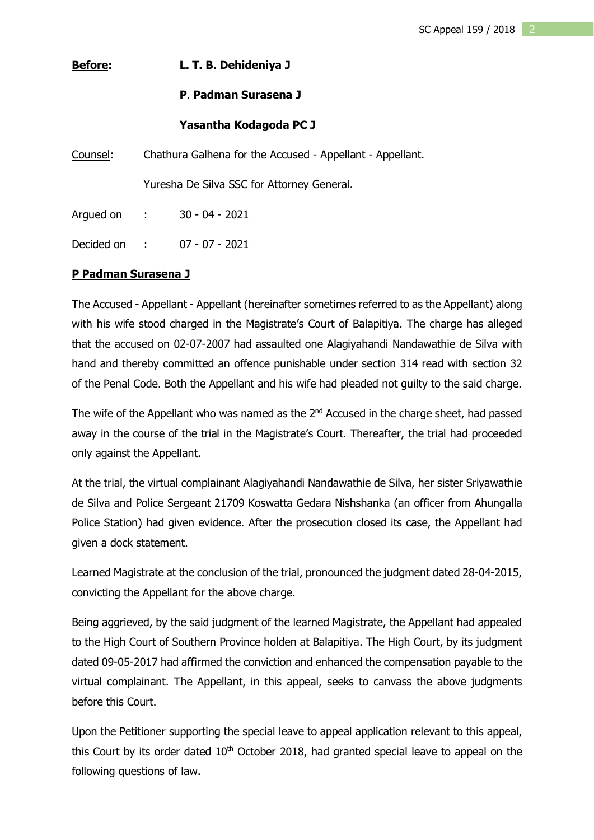# **Before: L. T. B. Dehideniya J**

# **P**. **Padman Surasena J**

## **Yasantha Kodagoda PC J**

Counsel: Chathura Galhena for the Accused - Appellant - Appellant.

Yuresha De Silva SSC for Attorney General.

Argued on : 30 - 04 - 2021

Decided on : 07 - 07 - 2021

## **P Padman Surasena J**

The Accused - Appellant - Appellant (hereinafter sometimes referred to as the Appellant) along with his wife stood charged in the Magistrate's Court of Balapitiya. The charge has alleged that the accused on 02-07-2007 had assaulted one Alagiyahandi Nandawathie de Silva with hand and thereby committed an offence punishable under section 314 read with section 32 of the Penal Code. Both the Appellant and his wife had pleaded not guilty to the said charge.

The wife of the Appellant who was named as the 2<sup>nd</sup> Accused in the charge sheet, had passed away in the course of the trial in the Magistrate's Court. Thereafter, the trial had proceeded only against the Appellant.

At the trial, the virtual complainant Alagiyahandi Nandawathie de Silva, her sister Sriyawathie de Silva and Police Sergeant 21709 Koswatta Gedara Nishshanka (an officer from Ahungalla Police Station) had given evidence. After the prosecution closed its case, the Appellant had given a dock statement.

Learned Magistrate at the conclusion of the trial, pronounced the judgment dated 28-04-2015, convicting the Appellant for the above charge.

Being aggrieved, by the said judgment of the learned Magistrate, the Appellant had appealed to the High Court of Southern Province holden at Balapitiya. The High Court, by its judgment dated 09-05-2017 had affirmed the conviction and enhanced the compensation payable to the virtual complainant. The Appellant, in this appeal, seeks to canvass the above judgments before this Court.

Upon the Petitioner supporting the special leave to appeal application relevant to this appeal, this Court by its order dated  $10<sup>th</sup>$  October 2018, had granted special leave to appeal on the following questions of law.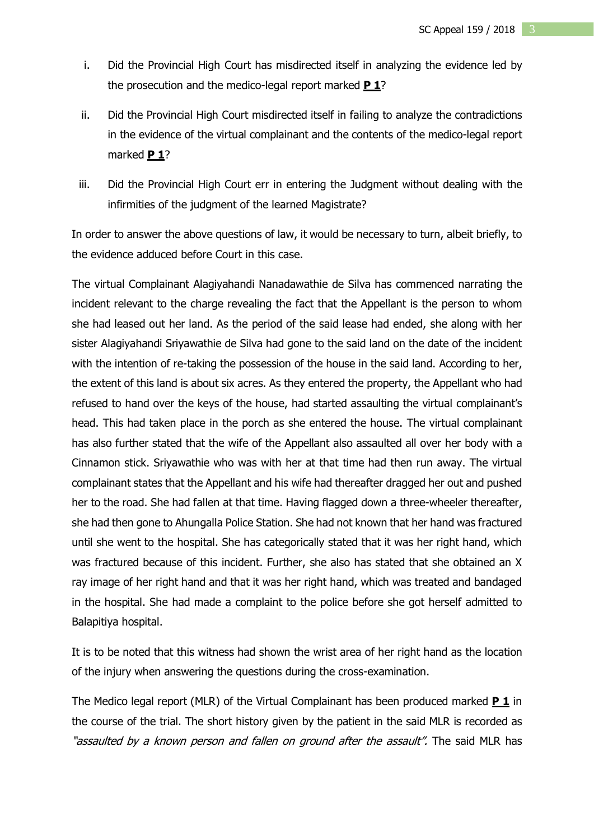- i. Did the Provincial High Court has misdirected itself in analyzing the evidence led by the prosecution and the medico-legal report marked **P 1**?
- ii. Did the Provincial High Court misdirected itself in failing to analyze the contradictions in the evidence of the virtual complainant and the contents of the medico-legal report marked **P 1**?
- iii. Did the Provincial High Court err in entering the Judgment without dealing with the infirmities of the judgment of the learned Magistrate?

In order to answer the above questions of law, it would be necessary to turn, albeit briefly, to the evidence adduced before Court in this case.

The virtual Complainant Alagiyahandi Nanadawathie de Silva has commenced narrating the incident relevant to the charge revealing the fact that the Appellant is the person to whom she had leased out her land. As the period of the said lease had ended, she along with her sister Alagiyahandi Sriyawathie de Silva had gone to the said land on the date of the incident with the intention of re-taking the possession of the house in the said land. According to her, the extent of this land is about six acres. As they entered the property, the Appellant who had refused to hand over the keys of the house, had started assaulting the virtual complainant's head. This had taken place in the porch as she entered the house. The virtual complainant has also further stated that the wife of the Appellant also assaulted all over her body with a Cinnamon stick. Sriyawathie who was with her at that time had then run away. The virtual complainant states that the Appellant and his wife had thereafter dragged her out and pushed her to the road. She had fallen at that time. Having flagged down a three-wheeler thereafter, she had then gone to Ahungalla Police Station. She had not known that her hand was fractured until she went to the hospital. She has categorically stated that it was her right hand, which was fractured because of this incident. Further, she also has stated that she obtained an X ray image of her right hand and that it was her right hand, which was treated and bandaged in the hospital. She had made a complaint to the police before she got herself admitted to Balapitiya hospital.

It is to be noted that this witness had shown the wrist area of her right hand as the location of the injury when answering the questions during the cross-examination.

The Medico legal report (MLR) of the Virtual Complainant has been produced marked **P 1** in the course of the trial. The short history given by the patient in the said MLR is recorded as "assaulted by a known person and fallen on ground after the assault". The said MLR has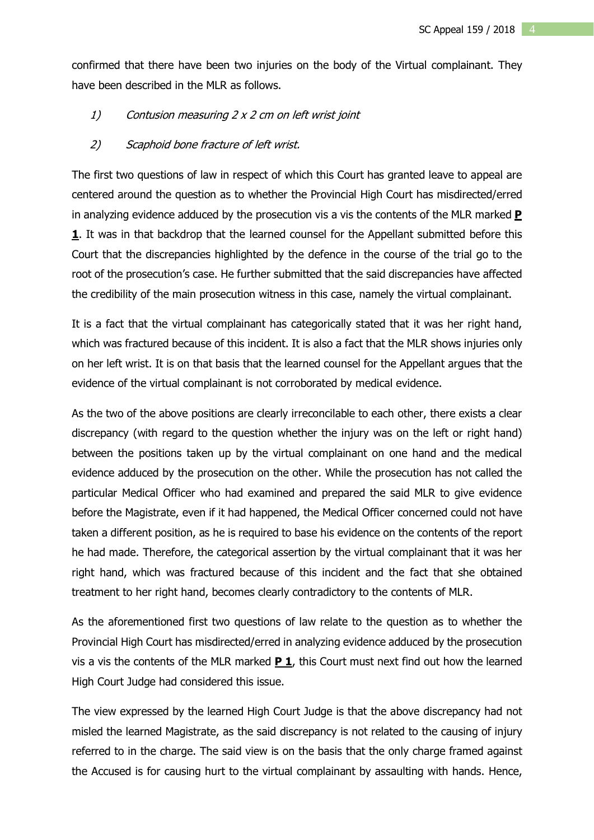confirmed that there have been two injuries on the body of the Virtual complainant. They have been described in the MLR as follows.

## 1) Contusion measuring 2 <sup>x</sup> 2 cm on left wrist joint

#### 2) Scaphoid bone fracture of left wrist.

The first two questions of law in respect of which this Court has granted leave to appeal are centered around the question as to whether the Provincial High Court has misdirected/erred in analyzing evidence adduced by the prosecution vis a vis the contents of the MLR marked **P 1**. It was in that backdrop that the learned counsel for the Appellant submitted before this Court that the discrepancies highlighted by the defence in the course of the trial go to the root of the prosecution's case. He further submitted that the said discrepancies have affected the credibility of the main prosecution witness in this case, namely the virtual complainant.

It is a fact that the virtual complainant has categorically stated that it was her right hand, which was fractured because of this incident. It is also a fact that the MLR shows injuries only on her left wrist. It is on that basis that the learned counsel for the Appellant argues that the evidence of the virtual complainant is not corroborated by medical evidence.

As the two of the above positions are clearly irreconcilable to each other, there exists a clear discrepancy (with regard to the question whether the injury was on the left or right hand) between the positions taken up by the virtual complainant on one hand and the medical evidence adduced by the prosecution on the other. While the prosecution has not called the particular Medical Officer who had examined and prepared the said MLR to give evidence before the Magistrate, even if it had happened, the Medical Officer concerned could not have taken a different position, as he is required to base his evidence on the contents of the report he had made. Therefore, the categorical assertion by the virtual complainant that it was her right hand, which was fractured because of this incident and the fact that she obtained treatment to her right hand, becomes clearly contradictory to the contents of MLR.

As the aforementioned first two questions of law relate to the question as to whether the Provincial High Court has misdirected/erred in analyzing evidence adduced by the prosecution vis a vis the contents of the MLR marked **P 1**, this Court must next find out how the learned High Court Judge had considered this issue.

The view expressed by the learned High Court Judge is that the above discrepancy had not misled the learned Magistrate, as the said discrepancy is not related to the causing of injury referred to in the charge. The said view is on the basis that the only charge framed against the Accused is for causing hurt to the virtual complainant by assaulting with hands. Hence,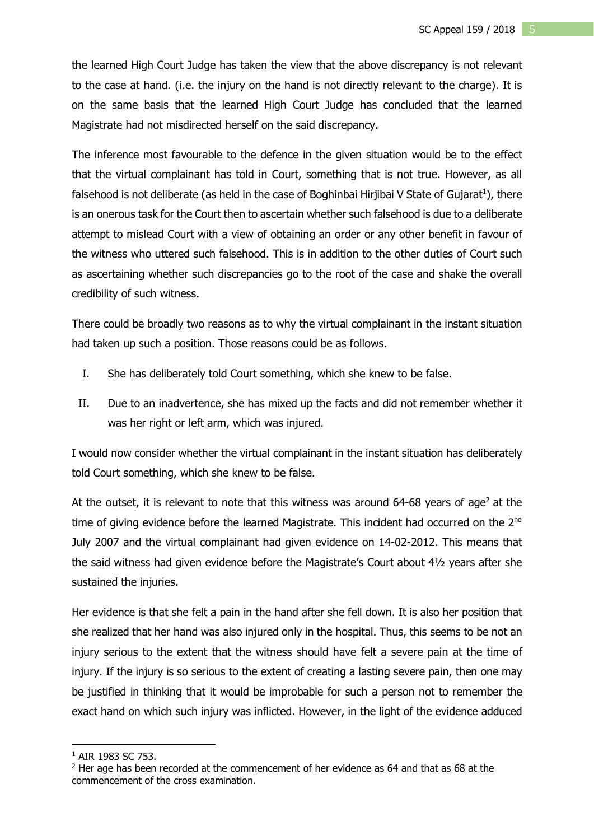the learned High Court Judge has taken the view that the above discrepancy is not relevant to the case at hand. (i.e. the injury on the hand is not directly relevant to the charge). It is on the same basis that the learned High Court Judge has concluded that the learned Magistrate had not misdirected herself on the said discrepancy.

The inference most favourable to the defence in the given situation would be to the effect that the virtual complainant has told in Court, something that is not true. However, as all falsehood is not deliberate (as held in the case of Boghinbai Hirjibai V State of Gujarat<sup>1</sup>), there is an onerous task for the Court then to ascertain whether such falsehood is due to a deliberate attempt to mislead Court with a view of obtaining an order or any other benefit in favour of the witness who uttered such falsehood. This is in addition to the other duties of Court such as ascertaining whether such discrepancies go to the root of the case and shake the overall credibility of such witness.

There could be broadly two reasons as to why the virtual complainant in the instant situation had taken up such a position. Those reasons could be as follows.

- I. She has deliberately told Court something, which she knew to be false.
- II. Due to an inadvertence, she has mixed up the facts and did not remember whether it was her right or left arm, which was injured.

I would now consider whether the virtual complainant in the instant situation has deliberately told Court something, which she knew to be false.

At the outset, it is relevant to note that this witness was around  $64-68$  years of age<sup>2</sup> at the time of giving evidence before the learned Magistrate. This incident had occurred on the  $2^{nd}$ July 2007 and the virtual complainant had given evidence on 14-02-2012. This means that the said witness had given evidence before the Magistrate's Court about 4½ years after she sustained the injuries.

Her evidence is that she felt a pain in the hand after she fell down. It is also her position that she realized that her hand was also injured only in the hospital. Thus, this seems to be not an injury serious to the extent that the witness should have felt a severe pain at the time of injury. If the injury is so serious to the extent of creating a lasting severe pain, then one may be justified in thinking that it would be improbable for such a person not to remember the exact hand on which such injury was inflicted. However, in the light of the evidence adduced

<u>.</u>

<sup>&</sup>lt;sup>1</sup> AIR 1983 SC 753.

<sup>&</sup>lt;sup>2</sup> Her age has been recorded at the commencement of her evidence as 64 and that as 68 at the commencement of the cross examination.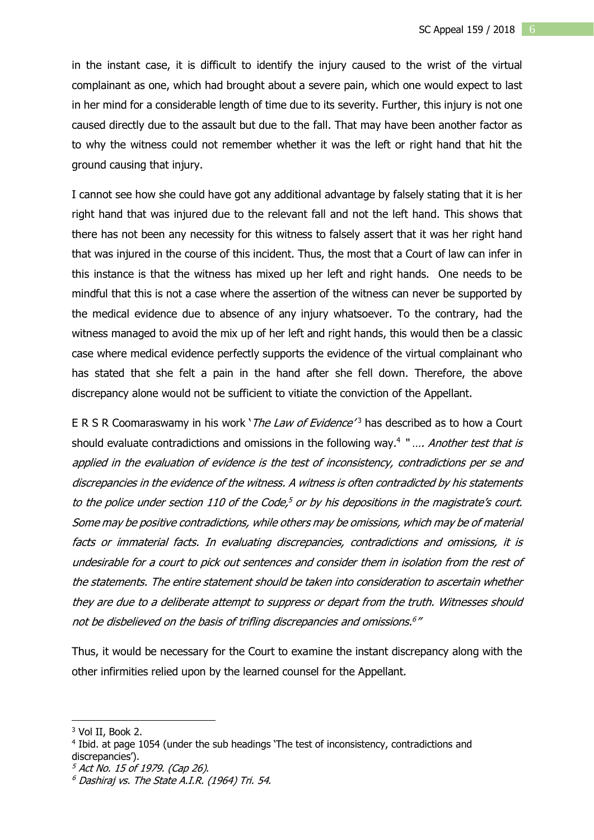in the instant case, it is difficult to identify the injury caused to the wrist of the virtual complainant as one, which had brought about a severe pain, which one would expect to last in her mind for a considerable length of time due to its severity. Further, this injury is not one caused directly due to the assault but due to the fall. That may have been another factor as to why the witness could not remember whether it was the left or right hand that hit the ground causing that injury.

I cannot see how she could have got any additional advantage by falsely stating that it is her right hand that was injured due to the relevant fall and not the left hand. This shows that there has not been any necessity for this witness to falsely assert that it was her right hand that was injured in the course of this incident. Thus, the most that a Court of law can infer in this instance is that the witness has mixed up her left and right hands. One needs to be mindful that this is not a case where the assertion of the witness can never be supported by the medical evidence due to absence of any injury whatsoever. To the contrary, had the witness managed to avoid the mix up of her left and right hands, this would then be a classic case where medical evidence perfectly supports the evidence of the virtual complainant who has stated that she felt a pain in the hand after she fell down. Therefore, the above discrepancy alone would not be sufficient to vitiate the conviction of the Appellant.

E R S R Coomaraswamy in his work '*The Law of Evidence'*<sup>3</sup> has described as to how a Court should evaluate contradictions and omissions in the following way.<sup>4</sup> ".... Another test that is applied in the evaluation of evidence is the test of inconsistency, contradictions per se and discrepancies in the evidence of the witness. A witness is often contradicted by his statements to the police under section 110 of the Code,<sup>5</sup> or by his depositions in the magistrate's court. Some may be positive contradictions, while others may be omissions, which may be of material facts or immaterial facts. In evaluating discrepancies, contradictions and omissions, it is undesirable for <sup>a</sup> court to pick out sentences and consider them in isolation from the rest of the statements. The entire statement should be taken into consideration to ascertain whether they are due to <sup>a</sup> deliberate attempt to suppress or depart from the truth. Witnesses should not be disbelieved on the basis of trifling discrepancies and omissions. 6 "

Thus, it would be necessary for the Court to examine the instant discrepancy along with the other infirmities relied upon by the learned counsel for the Appellant.

1

<sup>&</sup>lt;sup>3</sup> Vol II, Book 2.

<sup>4</sup> Ibid. at page 1054 (under the sub headings 'The test of inconsistency, contradictions and discrepancies').

<sup>5</sup> Act No. 15 of 1979. (Cap 26).

 $6$  Dashiraj vs. The State A.I.R. (1964) Tri. 54.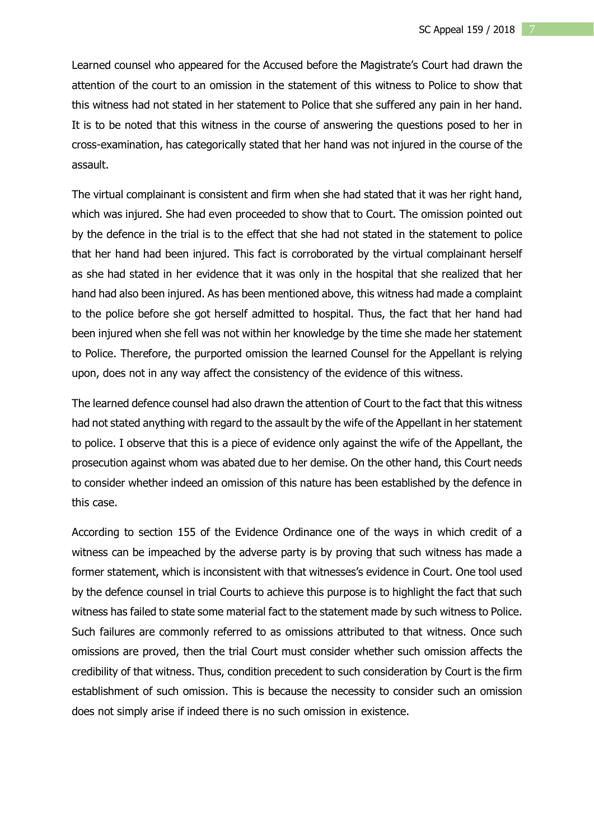Learned counsel who appeared for the Accused before the Magistrate's Court had drawn the attention of the court to an omission in the statement of this witness to Police to show that this witness had not stated in her statement to Police that she suffered any pain in her hand. It is to be noted that this witness in the course of answering the questions posed to her in cross-examination, has categorically stated that her hand was not injured in the course of the assault.

The virtual complainant is consistent and firm when she had stated that it was her right hand, which was injured. She had even proceeded to show that to Court. The omission pointed out by the defence in the trial is to the effect that she had not stated in the statement to police that her hand had been injured. This fact is corroborated by the virtual complainant herself as she had stated in her evidence that it was only in the hospital that she realized that her hand had also been injured. As has been mentioned above, this witness had made a complaint to the police before she got herself admitted to hospital. Thus, the fact that her hand had been injured when she fell was not within her knowledge by the time she made her statement to Police. Therefore, the purported omission the learned Counsel for the Appellant is relying upon, does not in any way affect the consistency of the evidence of this witness.

The learned defence counsel had also drawn the attention of Court to the fact that this witness had not stated anything with regard to the assault by the wife of the Appellant in her statement to police. I observe that this is a piece of evidence only against the wife of the Appellant, the prosecution against whom was abated due to her demise. On the other hand, this Court needs to consider whether indeed an omission of this nature has been established by the defence in this case.

According to section 155 of the Evidence Ordinance one of the ways in which credit of a witness can be impeached by the adverse party is by proving that such witness has made a former statement, which is inconsistent with that witnesses's evidence in Court. One tool used by the defence counsel in trial Courts to achieve this purpose is to highlight the fact that such witness has failed to state some material fact to the statement made by such witness to Police. Such failures are commonly referred to as omissions attributed to that witness. Once such omissions are proved, then the trial Court must consider whether such omission affects the credibility of that witness. Thus, condition precedent to such consideration by Court is the firm establishment of such omission. This is because the necessity to consider such an omission does not simply arise if indeed there is no such omission in existence.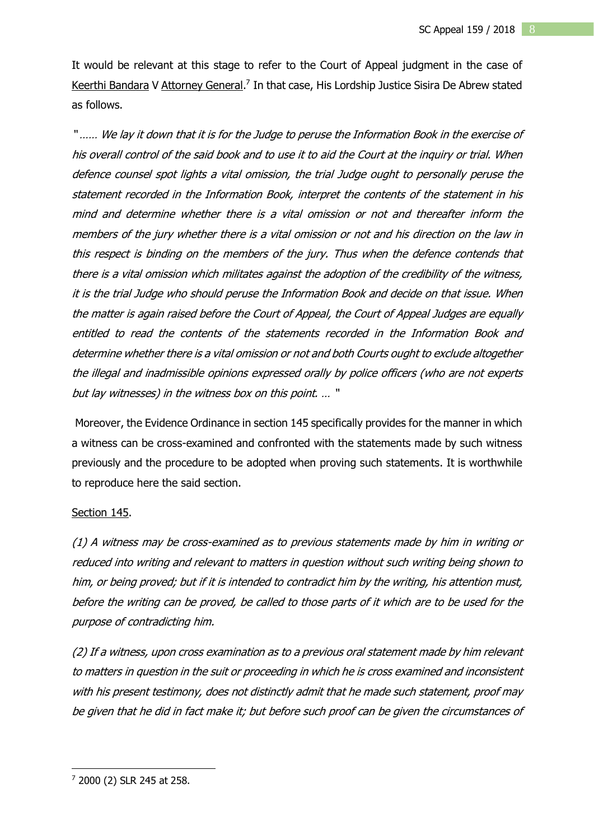It would be relevant at this stage to refer to the Court of Appeal judgment in the case of Keerthi Bandara V Attorney General.<sup>7</sup> In that case, His Lordship Justice Sisira De Abrew stated as follows.

" …… We lay it down that it is for the Judge to peruse the Information Book in the exercise of his overall control of the said book and to use it to aid the Court at the inquiry or trial. When defence counsel spot lights <sup>a</sup> vital omission, the trial Judge ought to personally peruse the statement recorded in the Information Book, interpret the contents of the statement in his mind and determine whether there is a vital omission or not and thereafter inform the members of the jury whether there is <sup>a</sup> vital omission or not and his direction on the law in this respect is binding on the members of the jury. Thus when the defence contends that there is <sup>a</sup> vital omission which militates against the adoption of the credibility of the witness, it is the trial Judge who should peruse the Information Book and decide on that issue. When the matter is again raised before the Court of Appeal, the Court of Appeal Judges are equally entitled to read the contents of the statements recorded in the Information Book and determine whether there is <sup>a</sup> vital omission or not and both Courts ought to exclude altogether the illegal and inadmissible opinions expressed orally by police officers (who are not experts but lay witnesses) in the witness box on this point. … "

Moreover, the Evidence Ordinance in section 145 specifically provides for the manner in which a witness can be cross-examined and confronted with the statements made by such witness previously and the procedure to be adopted when proving such statements. It is worthwhile to reproduce here the said section.

#### Section 145.

(1) A witness may be cross-examined as to previous statements made by him in writing or reduced into writing and relevant to matters in question without such writing being shown to him, or being proved; but if it is intended to contradict him by the writing, his attention must, before the writing can be proved, be called to those parts of it which are to be used for the purpose of contradicting him.

(2) If <sup>a</sup> witness, upon cross examination as to <sup>a</sup> previous oral statement made by him relevant to matters in question in the suit or proceeding in which he is cross examined and inconsistent with his present testimony, does not distinctly admit that he made such statement, proof may be given that he did in fact make it; but before such proof can be given the circumstances of

1

<sup>7</sup> 2000 (2) SLR 245 at 258.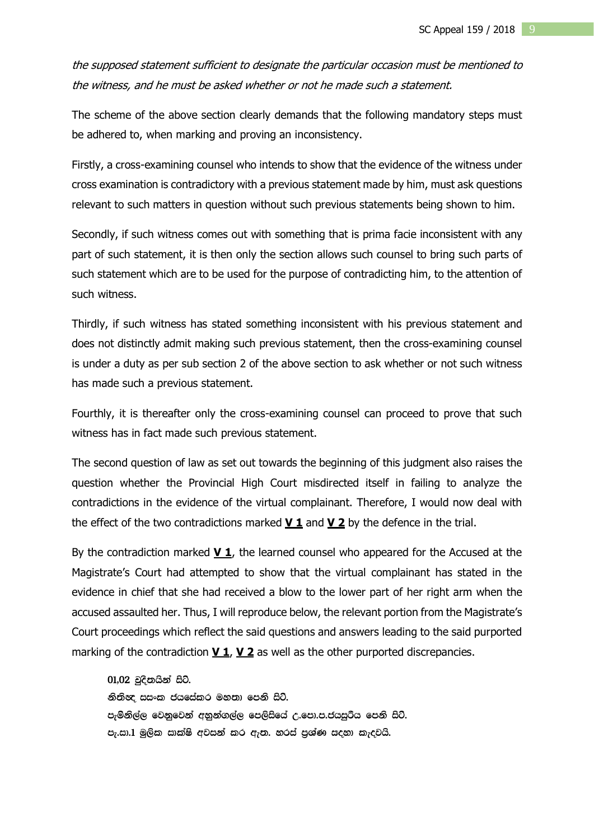the supposed statement sufficient to designate the particular occasion must be mentioned to the witness, and he must be asked whether or not he made such <sup>a</sup> statement.

The scheme of the above section clearly demands that the following mandatory steps must be adhered to, when marking and proving an inconsistency.

Firstly, a cross-examining counsel who intends to show that the evidence of the witness under cross examination is contradictory with a previous statement made by him, must ask questions relevant to such matters in question without such previous statements being shown to him.

Secondly, if such witness comes out with something that is prima facie inconsistent with any part of such statement, it is then only the section allows such counsel to bring such parts of such statement which are to be used for the purpose of contradicting him, to the attention of such witness.

Thirdly, if such witness has stated something inconsistent with his previous statement and does not distinctly admit making such previous statement, then the cross-examining counsel is under a duty as per sub section 2 of the above section to ask whether or not such witness has made such a previous statement.

Fourthly, it is thereafter only the cross-examining counsel can proceed to prove that such witness has in fact made such previous statement.

The second question of law as set out towards the beginning of this judgment also raises the question whether the Provincial High Court misdirected itself in failing to analyze the contradictions in the evidence of the virtual complainant. Therefore, I would now deal with the effect of the two contradictions marked **V 1** and **V 2** by the defence in the trial.

By the contradiction marked **V 1**, the learned counsel who appeared for the Accused at the Magistrate's Court had attempted to show that the virtual complainant has stated in the evidence in chief that she had received a blow to the lower part of her right arm when the accused assaulted her. Thus, I will reproduce below, the relevant portion from the Magistrate's Court proceedings which reflect the said questions and answers leading to the said purported marking of the contradiction **V 1**, **V 2** as well as the other purported discrepancies.

 $01,02$  චුදිතයින් සිටී. නිතිඥ සසංක ජයසේකර මහතා පෙනි සිටි. පැමිනිල්ල වෙනුවෙන් අනුන්ගල්ල පෙලිසියේ උ.පො.ප.ජයසුරිය පෙනි සිට්. පැ.සා.1 මුලික සාක්ෂි අවසන් කර ඇත. හරස් පුශ්ණ සදහා කැදවයි.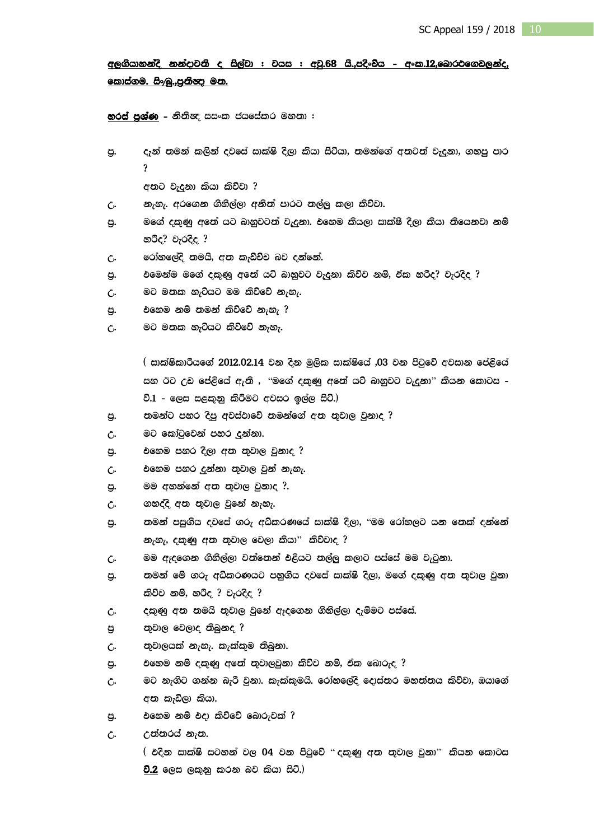# අලගියානන්දි නන්දාවති ද සිල්වා : වයස : අවු.68 යි.,පදිංචය - අංක.12,බොරඑගෙඩලන්ද, <u>කොස්ගම. සිං⁄බු.,පුනිඥා මන.</u>

හරස් පුශ්ණ - නිතිඥ සසංක ජයසේකර මහතා :

පු. දැන් තමන් කලින් දවසේ සාක්ෂි දිලා කියා සිටියා, තමන්ගේ අතටත් වැදුනා, ගනපු පාර @

අනට වැදුනා කියා කිව්වා ?

- උ. නැහැ. අරගෙන ගිනිල්ලා අනිත් පාරට තල්ලු කලා කිව්වා.
- පු. මගේ දකුණු අතේ යට බානුවටත් වැදුනා. එහෙම කියලා සාක්ෂී දිලා කියා තියෙනවා නම් න**ීද? වැරදිද** ?
- උ. රෝහලේදි තමයි, අත කැඩිවිට බව දන්නේ.
- පු. එමෙන්ම මගේ දකුණු අතේ යට් බානුවට වැදුනා කිව්ව නම්, ඒක හරිද? වැරදිද ?
- උ. මට මනක හැටියට මම කිව්වේ නැහැ.
- පු. එහෙම නම් තමන් කිව්වේ නැහැ ?
- උ. මට මනක හැටියට කිව්වේ නැහැ.

 $($  සාක්ෂිකාරීයගේ 2012.02.14 වන දින මූලික සාක්ෂියේ ,03 වන පිටුවේ අවසාන පේළියේ සහ ඊට උඩ පේළියේ ඇති , ''මගේ දකුණු අතේ යට් බාහුවට වැදුනා'' කියන කොටස -වි. $1$  - ලෙස සළකුනු කිරීමට අවසර ඉල්ල සිටි.)

- පු. තමන්ට පහර දිපු අවස්ථාවේ තමන්ගේ අත තුවාල වුනාද ?
- උ. මට කෝටුවෙන් පහර දුන්නා.
- පු. එහෙම පහර දිලා අත තුවාල වුනාද ?
- උ. එහෙම පහර දුන්නා තුවාල වුන් නැහැ.
- පු. මම අහන්නේ අත තුවාල වුනාද ?.
- උ. ගහද්දි අන තුවාල වුනේ නැහැ.
- පු. තමන් පසුගිය දවසේ ගරු අධිකරණයේ සාක්ෂි දිලා, ''මම රෝහලට යන තෙක් දන්නේ නැහැ, දකුණු අත තුවාල වෙලා කියා" කිව්වාද ?
- උ. මම ඇදගෙන ගිනිල්ලා වත්තෙන් එළියට තල්ලු කලාට පස්සේ මම වැටුනා.
- පු. තමන් මේ ගරු අධිකරණයට පනුගිය දවසේ සාක්ෂි දිලා, මගේ දකුණු අත තුවාල වුනා කිව්ව නම්, හරිද ? වැරදිද ?
- උ. දකුණු අත තමයි තුවාල වුනේ ඇදගෙන ගිනිල්ලා දැම්මට පස්සේ.
- m% ;=jd, fj,do ;snqko @
- $\zeta$ . පාවාලයක් නැහැ. කැක්කුම තිබුනා.
- පු. එහෙම නම් දකුණු අතේ තුවාලවුනා කිව්ව නම්, ඒක බොරුද ?
- උ. මට නැගිට ගන්න බැරී වුනා. කැක්කුමයි. රෝහලේදි දොස්තර මහත්තය කිව්වා, ඔයාගේ අන කැඩිලා කියා.
- පු. එහෙම නම් එදා කිව්වේ බොරුවක් ?
- C. උන්නරය් නැත.

 $($  එදින සාක්ෂි සටහන් වල 04 වන පිටුවේ " දකුණු අත තුවාල වුනා" කියන කොටස ව.2 ලෙස ලකුනු කරන බව කියා සිටී.)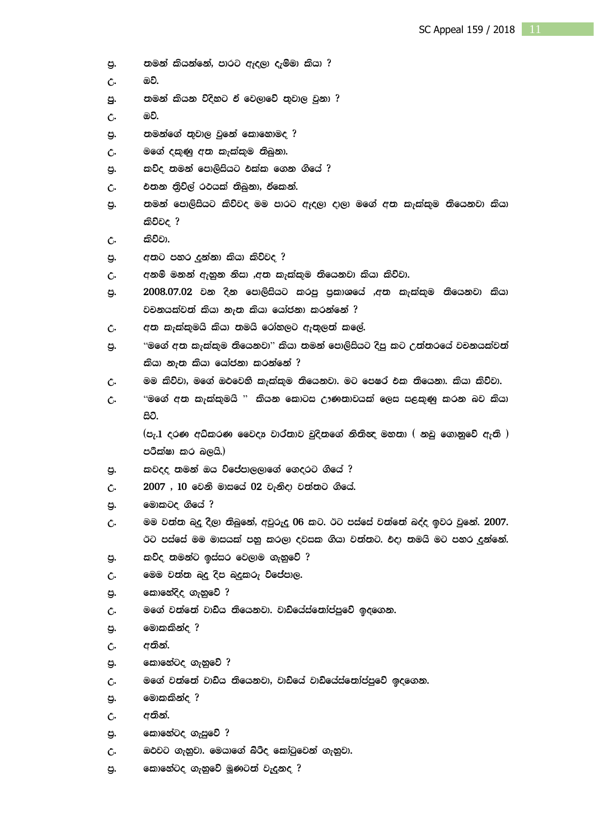- පු. තමන් කියන්නේ, පාරට ඇදලා දැම්මා කියා ?
- උ. ඔව්.
- පු. තමන් කියන විදිහට ඒ වෙලාවේ තුවාල වුනා ?
- උ. ඔ**ව**.
- පු. තමන්ගේ තුවාල වුනේ කොහොමද ?
- උ. මගේ දකුණු අත කැක්කුම තිබුනා.
- පු. කවිද තමන් පොලිසියට එක්ක ගෙන ගියේ ?
- උ. එපාන නිවිල් රථයක් තිබුනා, ඒකෙන්.
- පු. තමන් පොලිසියට කිව්වද මම පාරට ඇදලා දාලා මගේ අත කැක්කුම තියෙනවා කියා කිව්වද ?
- **උ.** කිව්වා.
- පු. අනට පහර දුන්නා කියා කිව්වද ?
- උ. අනම් මනන් ඇහුන නිසා ,අත කැක්කුම තියෙනවා කියා කිව්වා.
- .පු. 2008.07.02 වන දින පොලිසියට කරපු පුකාශයේ ,අත කැක්කුම තියෙනවා කියා වචනයක්වත් කියා නැත කියා යෝජනා කරන්නේ ?
- $C.$  af  $\sigma$  කැක්කුමයි කියා තමයි රෝහලට ඇතුලත් කලේ.
- පු. "මගේ අත කැක්කුම තියෙනවා" කියා තමන් පොලිසියට දිපු කට උත්තරයේ වචනයක්වත් කියා නැත කියා යෝජනා කරන්නේ ?
- $c.$ මම කිව්වා, මගේ ඔථවෙහි කැක්කුම නියෙනවා. මට පෙෂර එක නියෙනා. කියා කිව්වා.
- උ. "මගේ අත කැක්කුමයි " කියන කොටස ඌණතාවයක් ලෙස සළකුණු කරන බව කියා සිටී.

 $^{\mathrm{(c_7,1)}}$  cරණ අධ්කරණ වෛදා වාර්තාව චුදිතගේ නිතිඥ මහතා  $^{\mathrm{(}}$  නඩු ගොනුවේ ඇති  $^{\mathrm{()}}$ පරීක්ෂා කර බලයි.)

- පු. කවදද තමන් ඔය විජේපාලලාගේ ගෙදරට ගියේ ?
- $c<sub>1</sub>$  2007 . 10 වෙනි මාසයේ 02 වැනිදා වත්තට ගියේ.
- පු. මොකටද ගියේ ?
- උ. මම වත්ත බදු දිලා තිබුනේ, අවුරුදු 06 කට. ඊට පස්සේ වත්තේ බද්ද ඉවර වුනේ. 2007. ඊට පස්සේ මම මාසයක් පනු කරලා දවසක ගියා වත්තට. එදා තමයි මට පහර දුන්නේ.
- පු. කවිද තමන්ට ඉස්සර වෙලාම ගැනුවේ ?
- උ. මෙම වත්ත බදු දිප බදුකරු විජේපාල.
- පු. කොනේදිද ගැනුවේ ?
- උ. මගේ වත්තේ වාඩිය තියෙනවා. වාඩ්යේස්තෝප්පුවේ ඉදගෙන.
- පු. මොකකින්ද**?**
- උ. අතින්.
- පු. කොහේටද ගැහුවේ ?
- $c.$  මගේ වත්තේ වාඩ්ය තියෙනවා, වාඩ්යේ වාඩ්යේස්තෝප්පුවේ ඉදගෙන.
- පු. මොකකින්ද ?
- **උ. අතින්.**
- පු. කොහේටද ගැසුවේ ?
- $c$ . මුළුවට ගැනුවා. මෙයාගේ බ්රිද කෝටුවෙන් ගැනුවා.
- පු. කොහේටද ගැනුවේ මූණටත් වැදුනද ?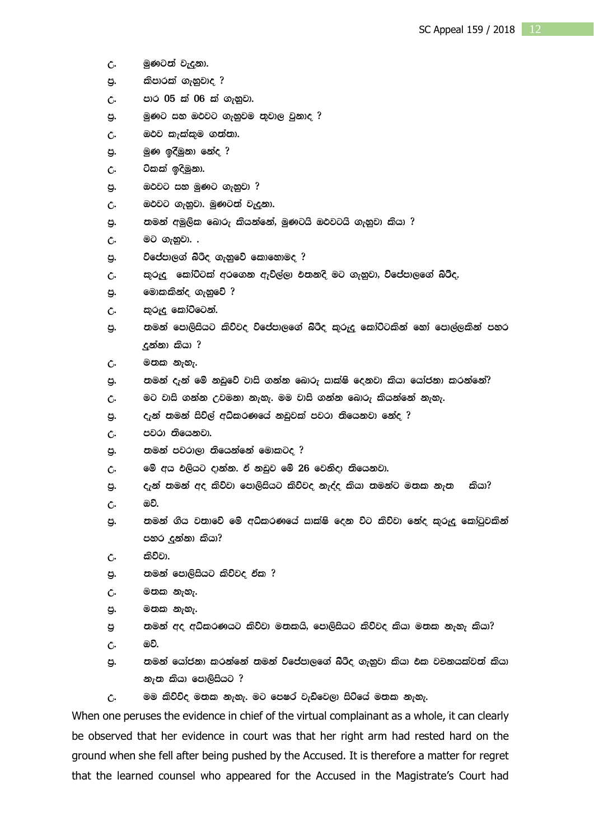- උ. මුණටත් වැදුනා.
- පු. කිපාරක් ගැනුවාද ?
- උ. පාර 05 ක් 06 ක් ගැනුවා.
- පු. මුණට සහ ඔථවට ගැනුවම තුවාල වුනාද ?
- උ. ඔථව කැක්කුම ගත්තා.
- පු. මුණ ඉදිමුනා නේද ?
- උ. ටිකක් ඉදිමුනා.
- පු. ඔථවට සහ මුණට ගැහුවා ?
- උ. මෙරවට ගැනුවා. මුණටත් වැදුනා.
- පු. තමන් අමුලික බොරු කියන්නේ, මුණටයි ඔථවටයි ගැනුවා කියා ?
- උ. මට ගැනුවා. .
- පු. විජේපාලග් බ්රිද ගැනුවේ කොහොමද ?
- උ. කුරුදු කෝට්ටක් අරගෙන ඇවිල්ලා එතනදි මට ගැනුවා, විජේපාලගේ බිරීද.
- පු. මොකකින්ද ගැහුවේ ?
- උ. කුරුදු කෝට්ටෙන්.
- .පු. තමන් පොලිසියට කිව්වද විජේපාලගේ බ්රීද කුරුදු කෝට්ටකින් තෝ පොල්ලකින් පහර දුන්නා කියා ?
- **උ. මනක නැහැ.**
- පු. තමන් දැන් මේ නඩුවේ වාසි ගන්න බොරු සාක්ෂි දෙනවා කියා යෝජනා කරන්නේ?
- උ. මට වාසි ගන්න උවමනා නැහැ. මම වාසි ගන්න බොරු කියන්නේ නැහැ.
- පු. දැන් තමන් සිවිල් අධිකරණයේ නඩුවක් පවරා තියෙනවා නේද ?
- උ. පවරා තියෙනවා.
- පු. තමන් පවරාලා තියෙන්නේ මොකටද ?
- $c$ . මේ අය එලියට දාන්න. ඒ නඩුව මේ 26 වෙනිදා තියෙනවා.
- පු. ඇන් තමන් අද කිව්වා පොලිසියට කිව්වද නැද්ද කියා තමන්ට මතක නැත කියා?
- උ. ඔව්.
- පු. තමන් ගිය වතාවේ මේ අධිකරණයේ සාක්ෂි දෙන විට කිව්වා නේද කුරුදු කෝටුවකින් පහර දුන්නා කියා?
- **උ.** කිව්වා.
- ප. පාමන් පොලිසියට කිව්වද **ඒක** ?
- **උ. ම**නක නැහැ.
- පු. ම**නක** නැහැ.
- පු තමන් අද අධිකරණයට කිව්වා මනකයි, පොලිසියට කිව්වද කියා මනක නැහැ කියා?
- උ. ඔ**ව**.
- .පු. තමන් යෝජනා කරන්නේ තමන් විජේපාලගේ බිරීද ගැනුවා කියා වක වචනයක්වත් කියා නැත කියා පොලිසියට ?
- උ. මම කිව්විද මතක නැහැ. මට පෙෂර වැඩිවෙලා සිටියේ මතක නැහැ.

When one peruses the evidence in chief of the virtual complainant as a whole, it can clearly be observed that her evidence in court was that her right arm had rested hard on the ground when she fell after being pushed by the Accused. It is therefore a matter for regret that the learned counsel who appeared for the Accused in the Magistrate's Court had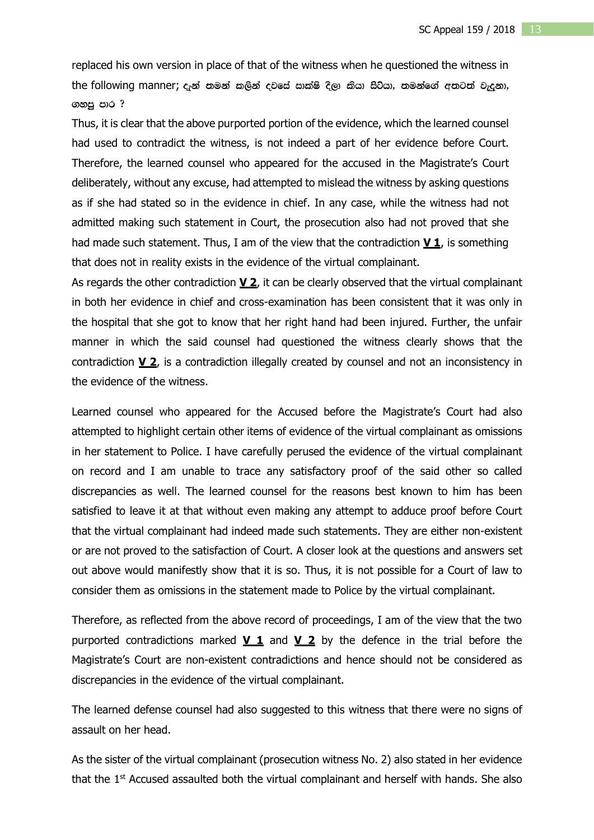replaced his own version in place of that of the witness when he questioned the witness in the following manner;  $c_i$ න් තමන් කලින් දවසේ සාක්ෂි දිලා කියා සිටියා, තමන්ගේ අතටත් වැදුනා, ගහපු පාර ?

Thus, it is clear that the above purported portion of the evidence, which the learned counsel had used to contradict the witness, is not indeed a part of her evidence before Court. Therefore, the learned counsel who appeared for the accused in the Magistrate's Court deliberately, without any excuse, had attempted to mislead the witness by asking questions as if she had stated so in the evidence in chief. In any case, while the witness had not admitted making such statement in Court, the prosecution also had not proved that she had made such statement. Thus, I am of the view that the contradiction **V 1**, is something that does not in reality exists in the evidence of the virtual complainant.

As regards the other contradiction **V 2**, it can be clearly observed that the virtual complainant in both her evidence in chief and cross-examination has been consistent that it was only in the hospital that she got to know that her right hand had been injured. Further, the unfair manner in which the said counsel had questioned the witness clearly shows that the contradiction **V 2**, is a contradiction illegally created by counsel and not an inconsistency in the evidence of the witness.

Learned counsel who appeared for the Accused before the Magistrate's Court had also attempted to highlight certain other items of evidence of the virtual complainant as omissions in her statement to Police. I have carefully perused the evidence of the virtual complainant on record and I am unable to trace any satisfactory proof of the said other so called discrepancies as well. The learned counsel for the reasons best known to him has been satisfied to leave it at that without even making any attempt to adduce proof before Court that the virtual complainant had indeed made such statements. They are either non-existent or are not proved to the satisfaction of Court. A closer look at the questions and answers set out above would manifestly show that it is so. Thus, it is not possible for a Court of law to consider them as omissions in the statement made to Police by the virtual complainant.

Therefore, as reflected from the above record of proceedings, I am of the view that the two purported contradictions marked **V 1** and **V 2** by the defence in the trial before the Magistrate's Court are non-existent contradictions and hence should not be considered as discrepancies in the evidence of the virtual complainant.

The learned defense counsel had also suggested to this witness that there were no signs of assault on her head.

As the sister of the virtual complainant (prosecution witness No. 2) also stated in her evidence that the 1<sup>st</sup> Accused assaulted both the virtual complainant and herself with hands. She also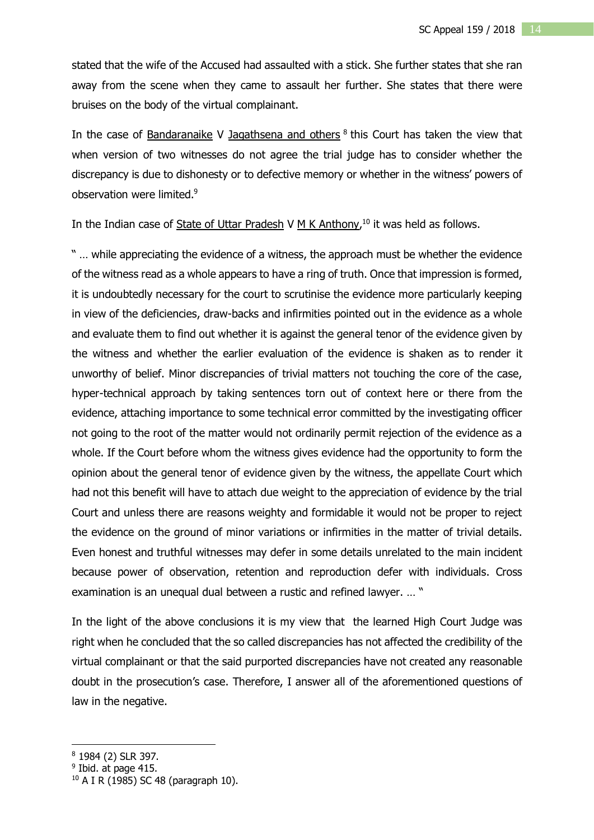stated that the wife of the Accused had assaulted with a stick. She further states that she ran away from the scene when they came to assault her further. She states that there were bruises on the body of the virtual complainant.

In the case of Bandaranaike V Jagathsena and others <sup>8</sup> this Court has taken the view that when version of two witnesses do not agree the trial judge has to consider whether the discrepancy is due to dishonesty or to defective memory or whether in the witness' powers of observation were limited.<sup>9</sup>

In the Indian case of State of Uttar Pradesh V  $M$  K Anthony,<sup>10</sup> it was held as follows.

" … while appreciating the evidence of a witness, the approach must be whether the evidence of the witness read as a whole appears to have a ring of truth. Once that impression is formed, it is undoubtedly necessary for the court to scrutinise the evidence more particularly keeping in view of the deficiencies, draw-backs and infirmities pointed out in the evidence as a whole and evaluate them to find out whether it is against the general tenor of the evidence given by the witness and whether the earlier evaluation of the evidence is shaken as to render it unworthy of belief. Minor discrepancies of trivial matters not touching the core of the case, hyper-technical approach by taking sentences torn out of context here or there from the evidence, attaching importance to some technical error committed by the investigating officer not going to the root of the matter would not ordinarily permit rejection of the evidence as a whole. If the Court before whom the witness gives evidence had the opportunity to form the opinion about the general tenor of evidence given by the witness, the appellate Court which had not this benefit will have to attach due weight to the appreciation of evidence by the trial Court and unless there are reasons weighty and formidable it would not be proper to reject the evidence on the ground of minor variations or infirmities in the matter of trivial details. Even honest and truthful witnesses may defer in some details unrelated to the main incident because power of observation, retention and reproduction defer with individuals. Cross examination is an unequal dual between a rustic and refined lawyer. … "

In the light of the above conclusions it is my view that the learned High Court Judge was right when he concluded that the so called discrepancies has not affected the credibility of the virtual complainant or that the said purported discrepancies have not created any reasonable doubt in the prosecution's case. Therefore, I answer all of the aforementioned questions of law in the negative.

<u>.</u>

<sup>8</sup> 1984 (2) SLR 397.

<sup>&</sup>lt;sup>9</sup> Ibid. at page 415.

<sup>10</sup> A I R (1985) SC 48 (paragraph 10).